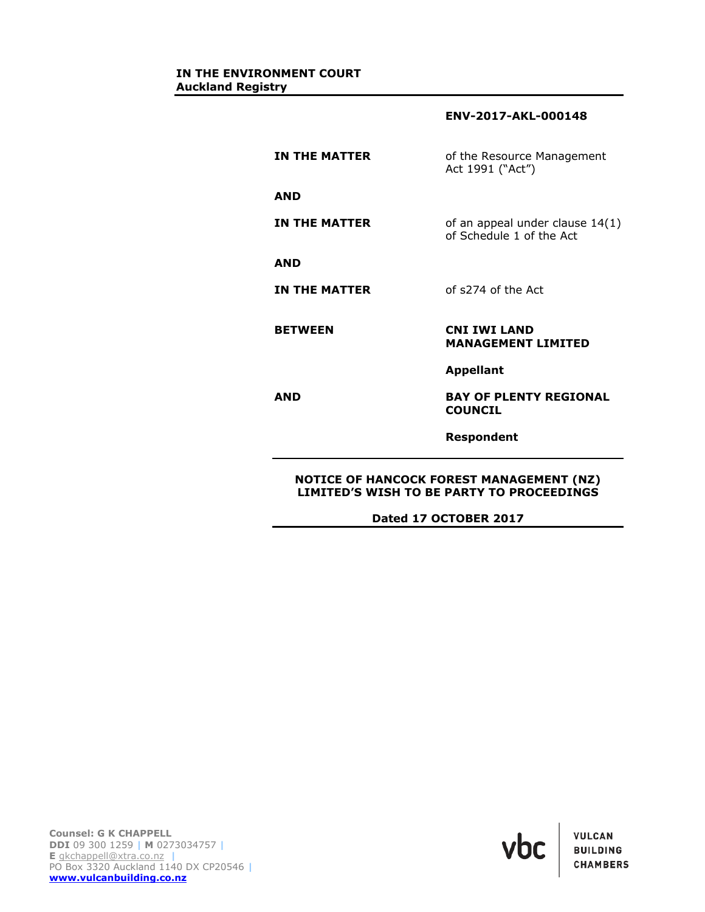|                      | ENV-2017-AKL-000148                                         |
|----------------------|-------------------------------------------------------------|
| <b>IN THE MATTER</b> | of the Resource Management<br>Act 1991 ("Act")              |
| <b>AND</b>           |                                                             |
| <b>IN THE MATTER</b> | of an appeal under clause 14(1)<br>of Schedule 1 of the Act |
| <b>AND</b>           |                                                             |
| <b>IN THE MATTER</b> | of s274 of the Act                                          |
| <b>BETWEEN</b>       | <b>CNI IWI LAND</b><br><b>MANAGEMENT LIMITED</b>            |
|                      | <b>Appellant</b>                                            |
| AND                  | <b>BAY OF PLENTY REGIONAL</b><br><b>COUNCIL</b>             |
|                      | Respondent                                                  |

### **NOTICE OF HANCOCK FOREST MANAGEMENT (NZ) LIMITED'S WISH TO BE PARTY TO PROCEEDINGS**

**Dated 17 OCTOBER 2017**

**Counsel: G K CHAPPELL DDI** 09 300 1259 **| M** 0273034757 **| E** [gkchappell@xtra.co.nz](mailto:gkchappell@xtra.co.nz) **|** PO Box 3320 Auckland 1140 DX CP20546 **| [www.vulcanbuilding.co.nz](http://www.vulcanbuilding.co.nz/)**

**VULCAN BUILDING CHAMBERS**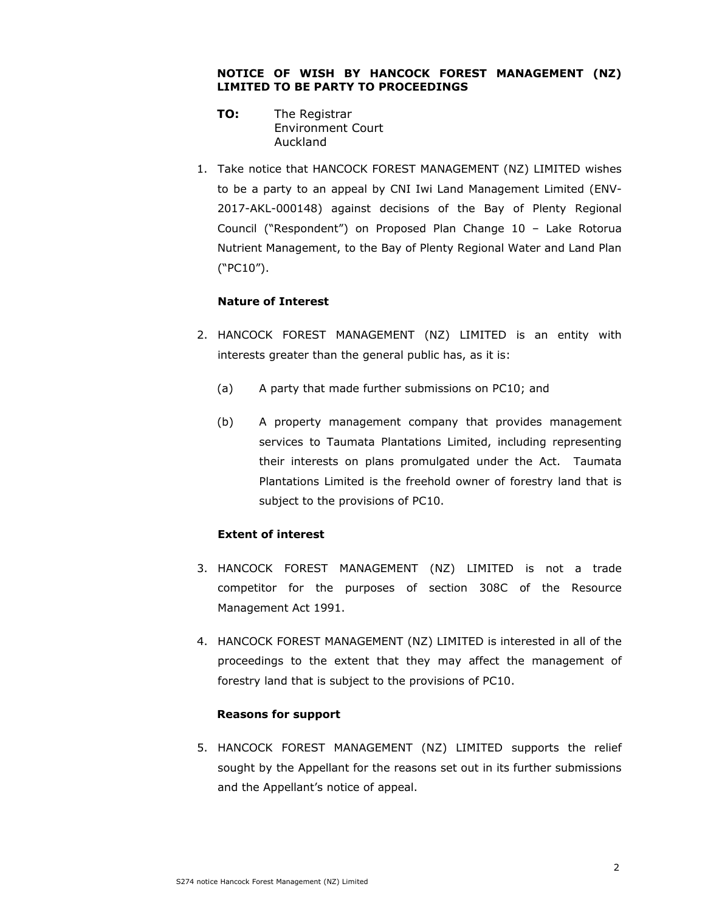### **NOTICE OF WISH BY HANCOCK FOREST MANAGEMENT (NZ) LIMITED TO BE PARTY TO PROCEEDINGS**

- **TO:** The Registrar Environment Court Auckland
- 1. Take notice that HANCOCK FOREST MANAGEMENT (NZ) LIMITED wishes to be a party to an appeal by CNI Iwi Land Management Limited (ENV-2017-AKL-000148) against decisions of the Bay of Plenty Regional Council ("Respondent") on Proposed Plan Change 10 – Lake Rotorua Nutrient Management, to the Bay of Plenty Regional Water and Land Plan ("PC10").

# **Nature of Interest**

- 2. HANCOCK FOREST MANAGEMENT (NZ) LIMITED is an entity with interests greater than the general public has, as it is:
	- (a) A party that made further submissions on PC10; and
	- (b) A property management company that provides management services to Taumata Plantations Limited, including representing their interests on plans promulgated under the Act. Taumata Plantations Limited is the freehold owner of forestry land that is subject to the provisions of PC10.

# **Extent of interest**

- 3. HANCOCK FOREST MANAGEMENT (NZ) LIMITED is not a trade competitor for the purposes of section 308C of the Resource Management Act 1991.
- 4. HANCOCK FOREST MANAGEMENT (NZ) LIMITED is interested in all of the proceedings to the extent that they may affect the management of forestry land that is subject to the provisions of PC10.

# **Reasons for support**

5. HANCOCK FOREST MANAGEMENT (NZ) LIMITED supports the relief sought by the Appellant for the reasons set out in its further submissions and the Appellant's notice of appeal.